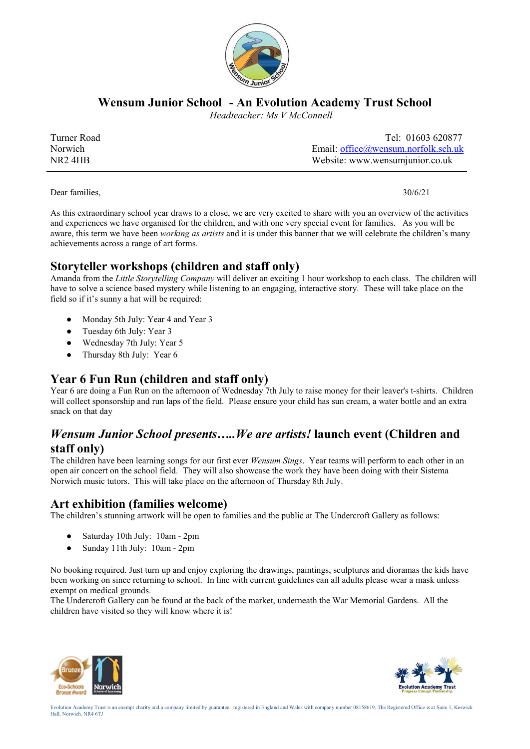

**Wensum Junior School - An Evolution Academy Trust School**

 *Headteacher: Ms V McConnell*

| Turner Road         | Tel: 01603 620877                      |
|---------------------|----------------------------------------|
| Norwich             | Email: $office@$ wensum.norfolk.sch.uk |
| NR <sub>2</sub> 4HB | Website: www.wensumjunior.co.uk        |

Dear families, 30/6/21

As this extraordinary school year draws to a close, we are very excited to share with you an overview of the activities and experiences we have organised for the children, and with one very special event for families. As you will be aware, this term we have been *working as artists* and it is under this banner that we will celebrate the children's many achievements across a range of art forms.

### **Storyteller workshops (children and staff only)**

Amanda from the *Little Storytelling Company* will deliver an exciting 1 hour workshop to each class. The children will have to solve a science based mystery while listening to an engaging, interactive story. These will take place on the field so if it's sunny a hat will be required:

- Monday 5th July: Year 4 and Year 3
- Tuesday 6th July: Year 3
- Wednesday 7th July: Year 5
- Thursday 8th July: Year 6

# **Year 6 Fun Run (children and staff only)**

Year 6 are doing a Fun Run on the afternoon of Wednesday 7th July to raise money for their leaver's t-shirts. Children will collect sponsorship and run laps of the field. Please ensure your child has sun cream, a water bottle and an extra snack on that day

#### *Wensum Junior School presents…..We are artists!* **launch event (Children and staff only)**

The children have been learning songs for our first ever *Wensum Sings*. Year teams will perform to each other in an open air concert on the school field. They will also showcase the work they have been doing with their Sistema Norwich music tutors. This will take place on the afternoon of Thursday 8th July.

### **Art exhibition (families welcome)**

The children's stunning artwork will be open to families and the public at The Undercroft Gallery as follows:

- Saturday 10th July: 10am 2pm
- Sunday 11th July: 10am 2pm

No booking required. Just turn up and enjoy exploring the drawings, paintings, sculptures and dioramas the kids have been working on since returning to school. In line with current guidelines can all adults please wear a mask unless exempt on medical grounds.

The Undercroft Gallery can be found at the back of the market, underneath the War Memorial Gardens. All the children have visited so they will know where it is!